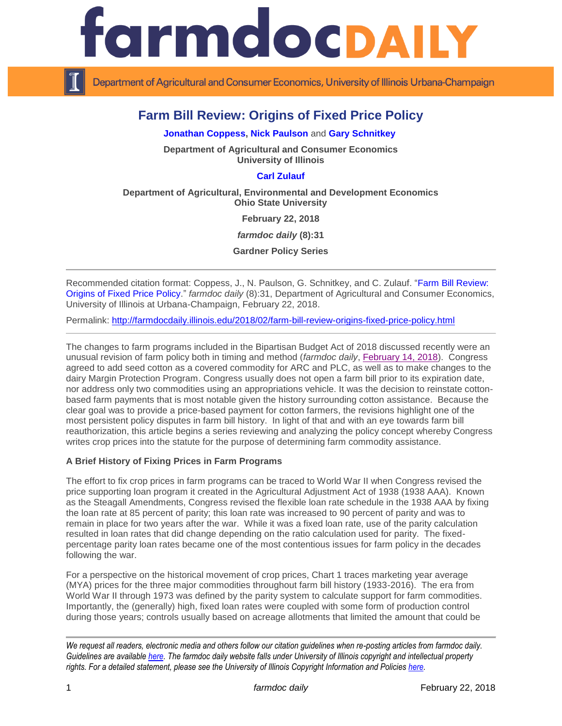

Department of Agricultural and Consumer Economics, University of Illinois Urbana-Champaign

# **Farm Bill Review: Origins of Fixed Price Policy**

**[Jonathan Coppess,](http://farmdoc.illinois.edu/coppess) [Nick Paulson](http://farmdoc.illinois.edu/paulson)** and **[Gary Schnitkey](http://farmdoc.illinois.edu/schnitkey)**

**Department of Agricultural and Consumer Economics University of Illinois**

### **[Carl Zulauf](http://aede.osu.edu/our-people/carl-zulauf)**

**Department of Agricultural, Environmental and Development Economics Ohio State University**

**February 22, 2018**

*farmdoc daily* **(8):31**

**Gardner Policy Series**

Recommended citation format: Coppess, J., N. Paulson, G. Schnitkey, and C. Zulauf. ["Farm Bill Review:](http://farmdocdaily.illinois.edu/2018/02/farm-bill-review-origins-fixed-price-policy.html)  [Origins of Fixed Price Policy.](http://farmdocdaily.illinois.edu/2018/02/farm-bill-review-origins-fixed-price-policy.html)" *farmdoc daily* (8):31, Department of Agricultural and Consumer Economics, University of Illinois at Urbana-Champaign, February 22, 2018.

Permalink: <http://farmdocdaily.illinois.edu/2018/02/farm-bill-review-origins-fixed-price-policy.html>

The changes to farm programs included in the Bipartisan Budget Act of 2018 discussed recently were an unusual revision of farm policy both in timing and method (*farmdoc daily*, [February 14, 2018\)](http://farmdocdaily.illinois.edu/2018/02/farm-bill-round-1-dairy-cotton-and-the-budget.html). Congress agreed to add seed cotton as a covered commodity for ARC and PLC, as well as to make changes to the dairy Margin Protection Program. Congress usually does not open a farm bill prior to its expiration date, nor address only two commodities using an appropriations vehicle. It was the decision to reinstate cottonbased farm payments that is most notable given the history surrounding cotton assistance. Because the clear goal was to provide a price-based payment for cotton farmers, the revisions highlight one of the most persistent policy disputes in farm bill history. In light of that and with an eye towards farm bill reauthorization, this article begins a series reviewing and analyzing the policy concept whereby Congress writes crop prices into the statute for the purpose of determining farm commodity assistance.

#### **A Brief History of Fixing Prices in Farm Programs**

The effort to fix crop prices in farm programs can be traced to World War II when Congress revised the price supporting loan program it created in the Agricultural Adjustment Act of 1938 (1938 AAA). Known as the Steagall Amendments, Congress revised the flexible loan rate schedule in the 1938 AAA by fixing the loan rate at 85 percent of parity; this loan rate was increased to 90 percent of parity and was to remain in place for two years after the war. While it was a fixed loan rate, use of the parity calculation resulted in loan rates that did change depending on the ratio calculation used for parity. The fixedpercentage parity loan rates became one of the most contentious issues for farm policy in the decades following the war.

For a perspective on the historical movement of crop prices, Chart 1 traces marketing year average (MYA) prices for the three major commodities throughout farm bill history (1933-2016). The era from World War II through 1973 was defined by the parity system to calculate support for farm commodities. Importantly, the (generally) high, fixed loan rates were coupled with some form of production control during those years; controls usually based on acreage allotments that limited the amount that could be

*We request all readers, electronic media and others follow our citation guidelines when re-posting articles from farmdoc daily. Guidelines are available [here.](http://farmdocdaily.illinois.edu/citationguide.html) The farmdoc daily website falls under University of Illinois copyright and intellectual property rights. For a detailed statement, please see the University of Illinois Copyright Information and Policies [here.](http://www.cio.illinois.edu/policies/copyright/)*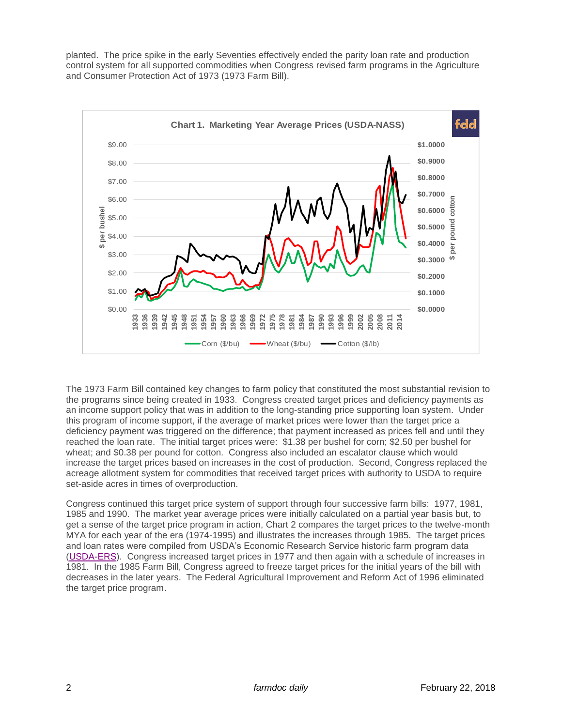planted. The price spike in the early Seventies effectively ended the parity loan rate and production control system for all supported commodities when Congress revised farm programs in the Agriculture and Consumer Protection Act of 1973 (1973 Farm Bill).



The 1973 Farm Bill contained key changes to farm policy that constituted the most substantial revision to the programs since being created in 1933. Congress created target prices and deficiency payments as an income support policy that was in addition to the long-standing price supporting loan system. Under this program of income support, if the average of market prices were lower than the target price a deficiency payment was triggered on the difference; that payment increased as prices fell and until they reached the loan rate. The initial target prices were: \$1.38 per bushel for corn; \$2.50 per bushel for wheat; and \$0.38 per pound for cotton. Congress also included an escalator clause which would increase the target prices based on increases in the cost of production. Second, Congress replaced the acreage allotment system for commodities that received target prices with authority to USDA to require set-aside acres in times of overproduction.

Congress continued this target price system of support through four successive farm bills: 1977, 1981, 1985 and 1990. The market year average prices were initially calculated on a partial year basis but, to get a sense of the target price program in action, Chart 2 compares the target prices to the twelve-month MYA for each year of the era (1974-1995) and illustrates the increases through 1985. The target prices and loan rates were compiled from USDA's Economic Research Service historic farm program data [\(USDA-ERS\)](https://www.ers.usda.gov/topics/farm-economy/farm-commodity-policy/analysis-of-previous-farm-bills/). Congress increased target prices in 1977 and then again with a schedule of increases in 1981. In the 1985 Farm Bill, Congress agreed to freeze target prices for the initial years of the bill with decreases in the later years. The Federal Agricultural Improvement and Reform Act of 1996 eliminated the target price program.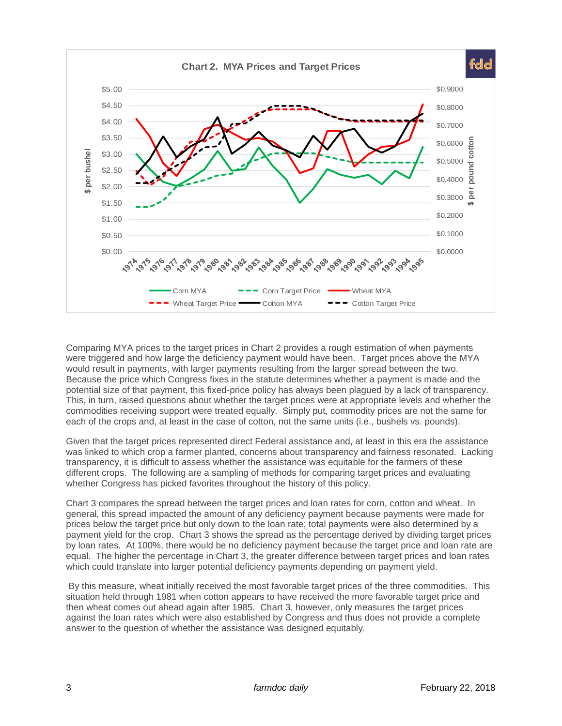

Comparing MYA prices to the target prices in Chart 2 provides a rough estimation of when payments were triggered and how large the deficiency payment would have been. Target prices above the MYA would result in payments, with larger payments resulting from the larger spread between the two. Because the price which Congress fixes in the statute determines whether a payment is made and the potential size of that payment, this fixed-price policy has always been plagued by a lack of transparency. This, in turn, raised questions about whether the target prices were at appropriate levels and whether the commodities receiving support were treated equally. Simply put, commodity prices are not the same for each of the crops and, at least in the case of cotton, not the same units (i.e., bushels vs. pounds).

Given that the target prices represented direct Federal assistance and, at least in this era the assistance was linked to which crop a farmer planted, concerns about transparency and fairness resonated. Lacking transparency, it is difficult to assess whether the assistance was equitable for the farmers of these different crops. The following are a sampling of methods for comparing target prices and evaluating whether Congress has picked favorites throughout the history of this policy.

Chart 3 compares the spread between the target prices and loan rates for corn, cotton and wheat. In general, this spread impacted the amount of any deficiency payment because payments were made for prices below the target price but only down to the loan rate; total payments were also determined by a payment yield for the crop. Chart 3 shows the spread as the percentage derived by dividing target prices by loan rates. At 100%, there would be no deficiency payment because the target price and loan rate are equal. The higher the percentage in Chart 3, the greater difference between target prices and loan rates which could translate into larger potential deficiency payments depending on payment yield.

By this measure, wheat initially received the most favorable target prices of the three commodities. This situation held through 1981 when cotton appears to have received the more favorable target price and then wheat comes out ahead again after 1985. Chart 3, however, only measures the target prices against the loan rates which were also established by Congress and thus does not provide a complete answer to the question of whether the assistance was designed equitably.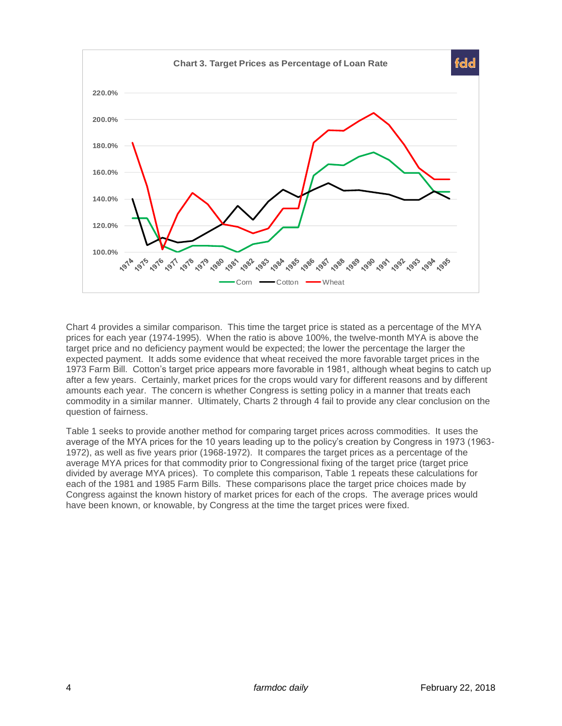

Chart 4 provides a similar comparison. This time the target price is stated as a percentage of the MYA prices for each year (1974-1995). When the ratio is above 100%, the twelve-month MYA is above the target price and no deficiency payment would be expected; the lower the percentage the larger the expected payment. It adds some evidence that wheat received the more favorable target prices in the 1973 Farm Bill. Cotton's target price appears more favorable in 1981, although wheat begins to catch up after a few years. Certainly, market prices for the crops would vary for different reasons and by different amounts each year. The concern is whether Congress is setting policy in a manner that treats each commodity in a similar manner. Ultimately, Charts 2 through 4 fail to provide any clear conclusion on the question of fairness.

Table 1 seeks to provide another method for comparing target prices across commodities. It uses the average of the MYA prices for the 10 years leading up to the policy's creation by Congress in 1973 (1963- 1972), as well as five years prior (1968-1972). It compares the target prices as a percentage of the average MYA prices for that commodity prior to Congressional fixing of the target price (target price divided by average MYA prices). To complete this comparison, Table 1 repeats these calculations for each of the 1981 and 1985 Farm Bills. These comparisons place the target price choices made by Congress against the known history of market prices for each of the crops. The average prices would have been known, or knowable, by Congress at the time the target prices were fixed.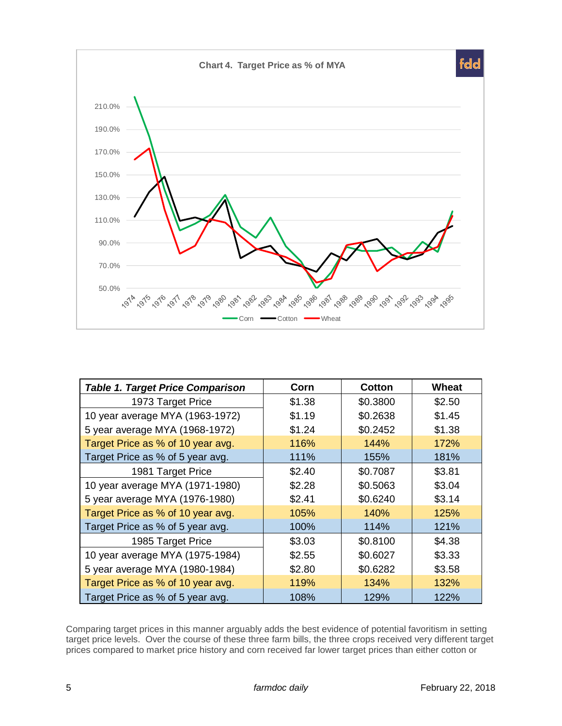

| <b>Table 1. Target Price Comparison</b> | Corn   | <b>Cotton</b> | Wheat  |
|-----------------------------------------|--------|---------------|--------|
| 1973 Target Price                       | \$1.38 | \$0.3800      | \$2.50 |
| 10 year average MYA (1963-1972)         | \$1.19 | \$0.2638      | \$1.45 |
| 5 year average MYA (1968-1972)          | \$1.24 | \$0.2452      | \$1.38 |
| Target Price as % of 10 year avg.       | 116%   | 144%          | 172%   |
| Target Price as % of 5 year avg.        | 111%   | 155%          | 181%   |
| 1981 Target Price                       | \$2.40 | \$0.7087      | \$3.81 |
| 10 year average MYA (1971-1980)         | \$2.28 | \$0.5063      | \$3.04 |
| 5 year average MYA (1976-1980)          | \$2.41 | \$0.6240      | \$3.14 |
| Target Price as % of 10 year avg.       | 105%   | 140%          | 125%   |
| Target Price as % of 5 year avg.        | 100%   | 114%          | 121%   |
| 1985 Target Price                       | \$3.03 | \$0.8100      | \$4.38 |
| 10 year average MYA (1975-1984)         | \$2.55 | \$0.6027      | \$3.33 |
| 5 year average MYA (1980-1984)          | \$2.80 | \$0.6282      | \$3.58 |
| Target Price as % of 10 year avg.       | 119%   | 134%          | 132%   |
| Target Price as % of 5 year avg.        | 108%   | 129%          | 122%   |

Comparing target prices in this manner arguably adds the best evidence of potential favoritism in setting target price levels. Over the course of these three farm bills, the three crops received very different target prices compared to market price history and corn received far lower target prices than either cotton or